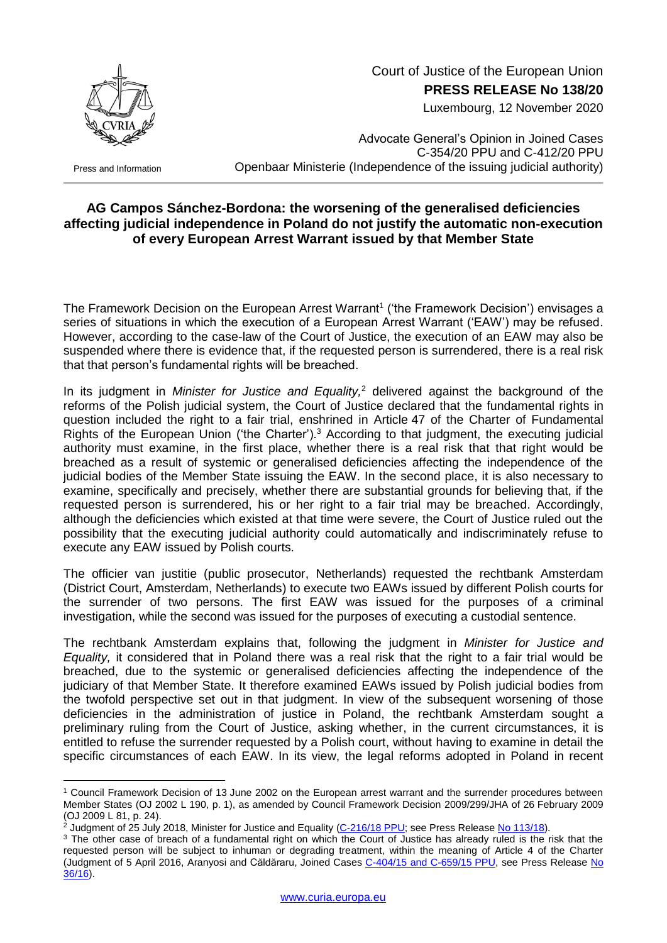

## Court of Justice of the European Union **PRESS RELEASE No 138/20**

Luxembourg, 12 November 2020

Press and Information

1

Advocate General's Opinion in Joined Cases C-354/20 PPU and C-412/20 PPU Openbaar Ministerie (Independence of the issuing judicial authority)

## **AG Campos Sánchez-Bordona: the worsening of the generalised deficiencies affecting judicial independence in Poland do not justify the automatic non-execution of every European Arrest Warrant issued by that Member State**

The Framework Decision on the European Arrest Warrant<sup>1</sup> ('the Framework Decision') envisages a series of situations in which the execution of a European Arrest Warrant ('EAW') may be refused. However, according to the case-law of the Court of Justice, the execution of an EAW may also be suspended where there is evidence that, if the requested person is surrendered, there is a real risk that that person's fundamental rights will be breached.

In its judgment in *Minister for Justice and Equality,*<sup>2</sup> delivered against the background of the reforms of the Polish judicial system, the Court of Justice declared that the fundamental rights in question included the right to a fair trial, enshrined in Article 47 of the Charter of Fundamental Rights of the European Union ('the Charter').<sup>3</sup> According to that judgment, the executing judicial authority must examine, in the first place, whether there is a real risk that that right would be breached as a result of systemic or generalised deficiencies affecting the independence of the judicial bodies of the Member State issuing the EAW. In the second place, it is also necessary to examine, specifically and precisely, whether there are substantial grounds for believing that, if the requested person is surrendered, his or her right to a fair trial may be breached. Accordingly, although the deficiencies which existed at that time were severe, the Court of Justice ruled out the possibility that the executing judicial authority could automatically and indiscriminately refuse to execute any EAW issued by Polish courts.

The officier van justitie (public prosecutor, Netherlands) requested the rechtbank Amsterdam (District Court, Amsterdam, Netherlands) to execute two EAWs issued by different Polish courts for the surrender of two persons. The first EAW was issued for the purposes of a criminal investigation, while the second was issued for the purposes of executing a custodial sentence.

The rechtbank Amsterdam explains that, following the judgment in *Minister for Justice and Equality,* it considered that in Poland there was a real risk that the right to a fair trial would be breached, due to the systemic or generalised deficiencies affecting the independence of the judiciary of that Member State. It therefore examined EAWs issued by Polish judicial bodies from the twofold perspective set out in that judgment. In view of the subsequent worsening of those deficiencies in the administration of justice in Poland, the rechtbank Amsterdam sought a preliminary ruling from the Court of Justice, asking whether, in the current circumstances, it is entitled to refuse the surrender requested by a Polish court, without having to examine in detail the specific circumstances of each EAW. In its view, the legal reforms adopted in Poland in recent

<sup>1</sup> Council Framework Decision of 13 June 2002 on the European arrest warrant and the surrender procedures between Member States (OJ 2002 L 190, p. 1), as amended by Council Framework Decision 2009/299/JHA of 26 February 2009 (OJ 2009 L 81, p. 24).

 $^2$  Judgment of 25 July 2018, Minister for Justice and Equality [\(C-216/18](http://curia.europa.eu/juris/documents.jsf?num=C-216/18) PPU; see Press Release No [113/18\)](https://curia.europa.eu/jcms/upload/docs/application/pdf/2018-07/cp180113en.pdf).

<sup>&</sup>lt;sup>3</sup> The other case of breach of a fundamental right on which the Court of Justice has already ruled is the risk that the requested person will be subject to inhuman or degrading treatment, within the meaning of Article 4 of the Charter (Judgment of 5 April 2016, Aranyosi and Căldăraru, Joined Cases [C-404/15 and](http://curia.europa.eu/juris/documents.jsf?num=C-404/15) C-659/15 PPU, see Press Release [No](https://curia.europa.eu/jcms/upload/docs/application/pdf/2016-04/cp160036en.pdf)  [36/16\)](https://curia.europa.eu/jcms/upload/docs/application/pdf/2016-04/cp160036en.pdf).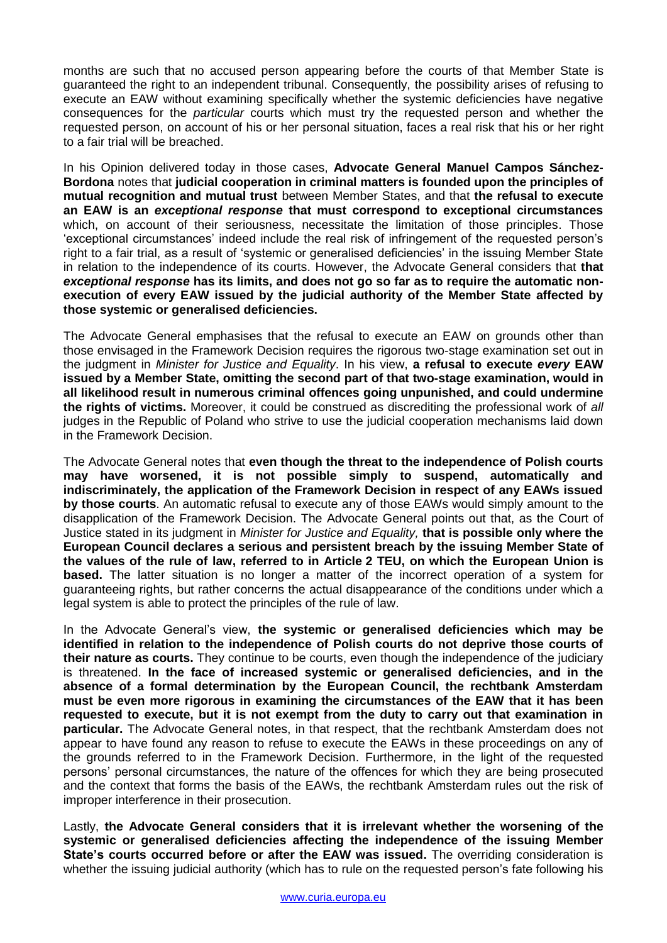months are such that no accused person appearing before the courts of that Member State is guaranteed the right to an independent tribunal. Consequently, the possibility arises of refusing to execute an EAW without examining specifically whether the systemic deficiencies have negative consequences for the *particular* courts which must try the requested person and whether the requested person, on account of his or her personal situation, faces a real risk that his or her right to a fair trial will be breached.

In his Opinion delivered today in those cases, **Advocate General Manuel Campos Sánchez-Bordona** notes that **judicial cooperation in criminal matters is founded upon the principles of mutual recognition and mutual trust** between Member States, and that **the refusal to execute an EAW is an** *exceptional response* **that must correspond to exceptional circumstances** which, on account of their seriousness, necessitate the limitation of those principles. Those 'exceptional circumstances' indeed include the real risk of infringement of the requested person's right to a fair trial, as a result of 'systemic or generalised deficiencies' in the issuing Member State in relation to the independence of its courts. However, the Advocate General considers that **that**  *exceptional response* **has its limits, and does not go so far as to require the automatic nonexecution of every EAW issued by the judicial authority of the Member State affected by those systemic or generalised deficiencies.**

The Advocate General emphasises that the refusal to execute an EAW on grounds other than those envisaged in the Framework Decision requires the rigorous two-stage examination set out in the judgment in *Minister for Justice and Equality*. In his view, **a refusal to execute** *every* **EAW issued by a Member State, omitting the second part of that two-stage examination, would in all likelihood result in numerous criminal offences going unpunished, and could undermine the rights of victims.** Moreover, it could be construed as discrediting the professional work of *all* judges in the Republic of Poland who strive to use the judicial cooperation mechanisms laid down in the Framework Decision.

The Advocate General notes that **even though the threat to the independence of Polish courts may have worsened, it is not possible simply to suspend, automatically and indiscriminately, the application of the Framework Decision in respect of any EAWs issued by those courts**. An automatic refusal to execute any of those EAWs would simply amount to the disapplication of the Framework Decision. The Advocate General points out that, as the Court of Justice stated in its judgment in *Minister for Justice and Equality,* **that is possible only where the European Council declares a serious and persistent breach by the issuing Member State of the values of the rule of law, referred to in Article 2 TEU, on which the European Union is based.** The latter situation is no longer a matter of the incorrect operation of a system for guaranteeing rights, but rather concerns the actual disappearance of the conditions under which a legal system is able to protect the principles of the rule of law.

In the Advocate General's view, **the systemic or generalised deficiencies which may be identified in relation to the independence of Polish courts do not deprive those courts of their nature as courts.** They continue to be courts, even though the independence of the judiciary is threatened. **In the face of increased systemic or generalised deficiencies, and in the absence of a formal determination by the European Council, the rechtbank Amsterdam must be even more rigorous in examining the circumstances of the EAW that it has been requested to execute, but it is not exempt from the duty to carry out that examination in particular.** The Advocate General notes, in that respect, that the rechtbank Amsterdam does not appear to have found any reason to refuse to execute the EAWs in these proceedings on any of the grounds referred to in the Framework Decision. Furthermore, in the light of the requested persons' personal circumstances, the nature of the offences for which they are being prosecuted and the context that forms the basis of the EAWs, the rechtbank Amsterdam rules out the risk of improper interference in their prosecution.

Lastly, **the Advocate General considers that it is irrelevant whether the worsening of the systemic or generalised deficiencies affecting the independence of the issuing Member State's courts occurred before or after the EAW was issued.** The overriding consideration is whether the issuing judicial authority (which has to rule on the requested person's fate following his